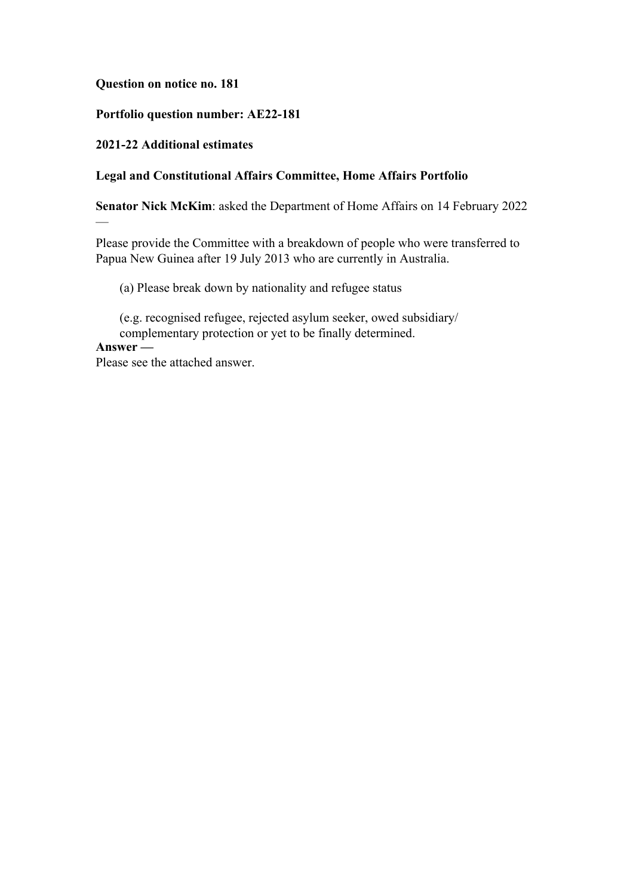#### **Question on notice no. 181**

## **Portfolio question number: AE22-181**

## **2021-22 Additional estimates**

—

## **Legal and Constitutional Affairs Committee, Home Affairs Portfolio**

**Senator Nick McKim**: asked the Department of Home Affairs on 14 February 2022

Please provide the Committee with a breakdown of people who were transferred to Papua New Guinea after 19 July 2013 who are currently in Australia.

(a) Please break down by nationality and refugee status

(e.g. recognised refugee, rejected asylum seeker, owed subsidiary/ complementary protection or yet to be finally determined. **Answer —**

Please see the attached answer.